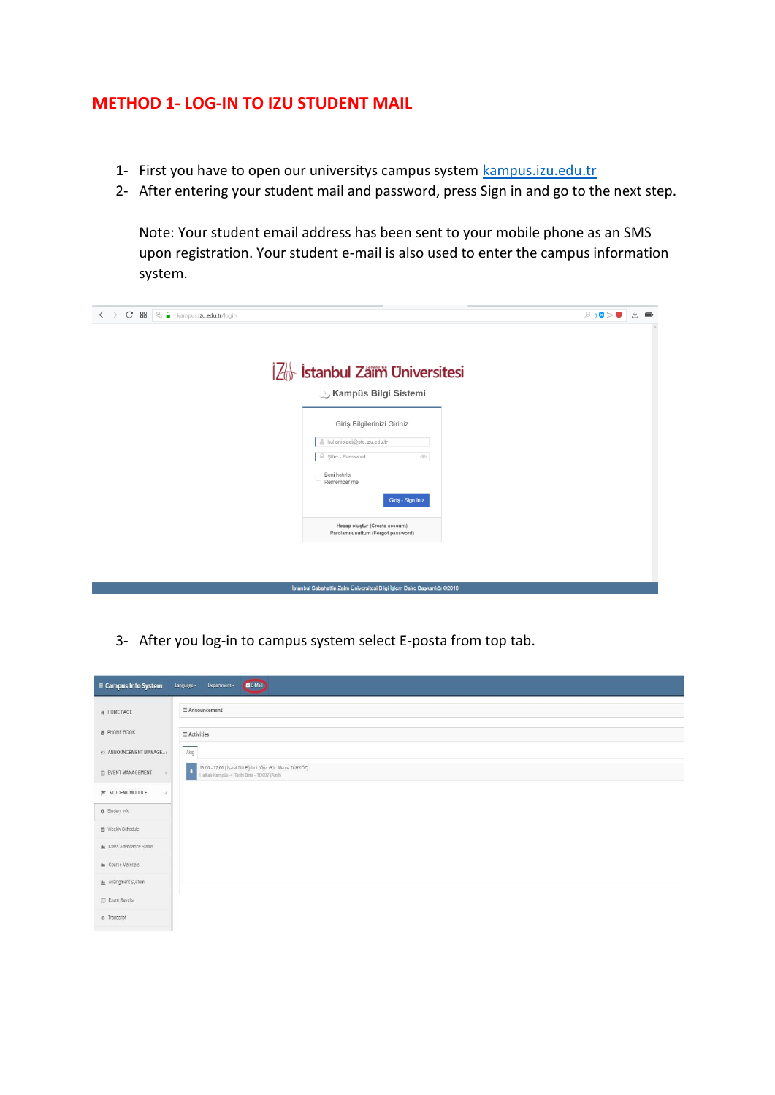## **METHOD 1- LOG-IN TO IZU STUDENT MAIL**

- 1- First you have to open our universitys campus system kampus.izu.edu.tr
- 2- After entering your student mail and password, press Sign in and go to the next step.

Note: Your student email address has been sent to your mobile phone as an SMS upon registration. Your student e-mail is also used to enter the campus information system.

| $\langle \rangle$ C BB<br>$\mathbb{R}$ kampus.izu.edu.tr/login           | $\mathcal{P} \triangleleft \otimes \mathbf{0} \otimes \mathbf{0}$ | $\downarrow$ | $\qquad \qquad \blacksquare$ |
|--------------------------------------------------------------------------|-------------------------------------------------------------------|--------------|------------------------------|
|                                                                          |                                                                   |              |                              |
|                                                                          |                                                                   |              |                              |
| 2 Istanbul Zäim Universitesi                                             |                                                                   |              |                              |
| <b>J. Kampüs Bilgi Sistemi</b>                                           |                                                                   |              |                              |
| Giriş Bilgilerinizi Giriniz                                              |                                                                   |              |                              |
| kullaniciadi@std.izu.edu.tr<br>ă                                         |                                                                   |              |                              |
| Sifre - Password<br>$\circledcirc$                                       |                                                                   |              |                              |
| Beni hatırla<br>Remember me                                              |                                                                   |              |                              |
| Giriş - Sign In >                                                        |                                                                   |              |                              |
| Hesap oluştur (Create account)<br>Parolamı unuttum (Forgot password)     |                                                                   |              |                              |
|                                                                          |                                                                   |              |                              |
|                                                                          |                                                                   |              |                              |
| İstanbul Sabahattin Zaim Üniversitesi Bilgi İşlem Daire Başkanlığı @2018 |                                                                   |              |                              |

3- After you log-in to campus system select E-posta from top tab.

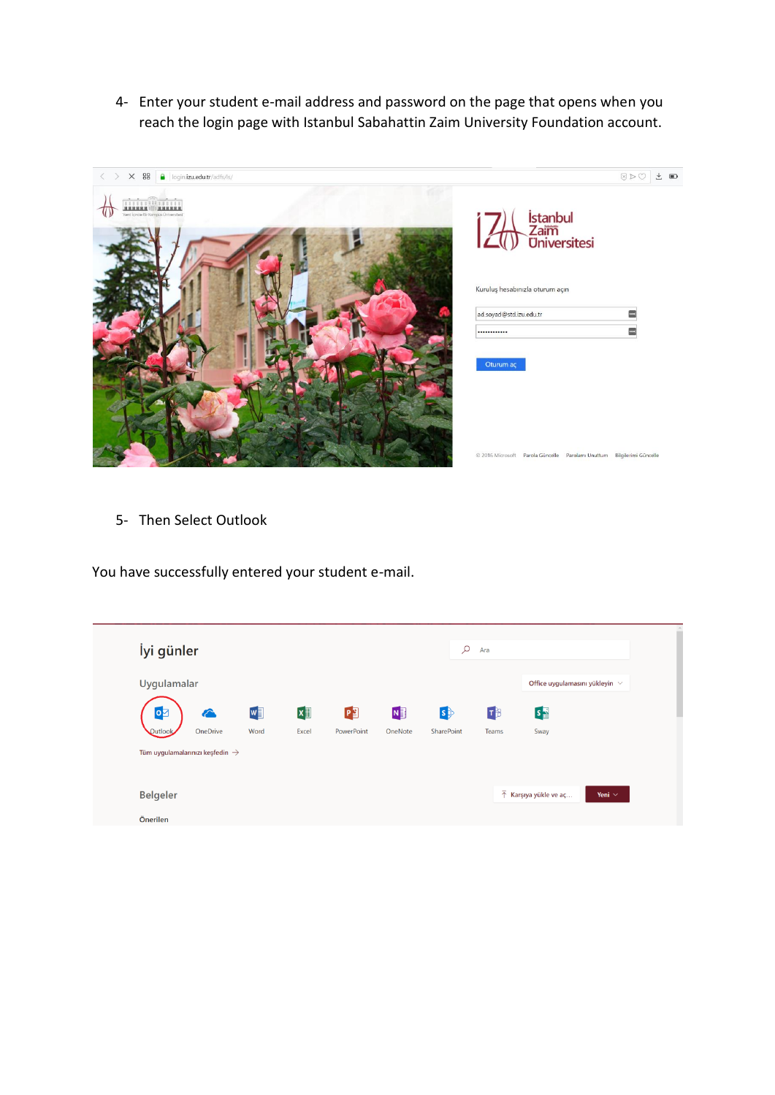4- Enter your student e-mail address and password on the page that opens when you reach the login page with Istanbul Sabahattin Zaim University Foundation account.



5- Then Select Outlook

You have successfully entered your student e-mail.

| İyi günler                                  |          |      |            |            |           | Q          | Ara   |                                      |             |
|---------------------------------------------|----------|------|------------|------------|-----------|------------|-------|--------------------------------------|-------------|
| Uygulamalar                                 |          |      |            |            |           |            |       | Office uygulamasını yükleyin $\vee$  |             |
| $\bullet$                                   | â        | W    | $x \equiv$ | ¢          | <b>NB</b> | $\ket{s}$  | 「下    | $s_{\frac{1}{2}}$                    |             |
| Outlook                                     | OneDrive | Word | Excel      | PowerPoint | OneNote   | SharePoint | Teams | Sway                                 |             |
| Tüm uygulamalarınızı keşfedin $\rightarrow$ |          |      |            |            |           |            |       |                                      |             |
| <b>Belgeler</b>                             |          |      |            |            |           |            |       | $\bar{\uparrow}$ Karşıya yükle ve aç | Yeni $\vee$ |
| Önerilen                                    |          |      |            |            |           |            |       |                                      |             |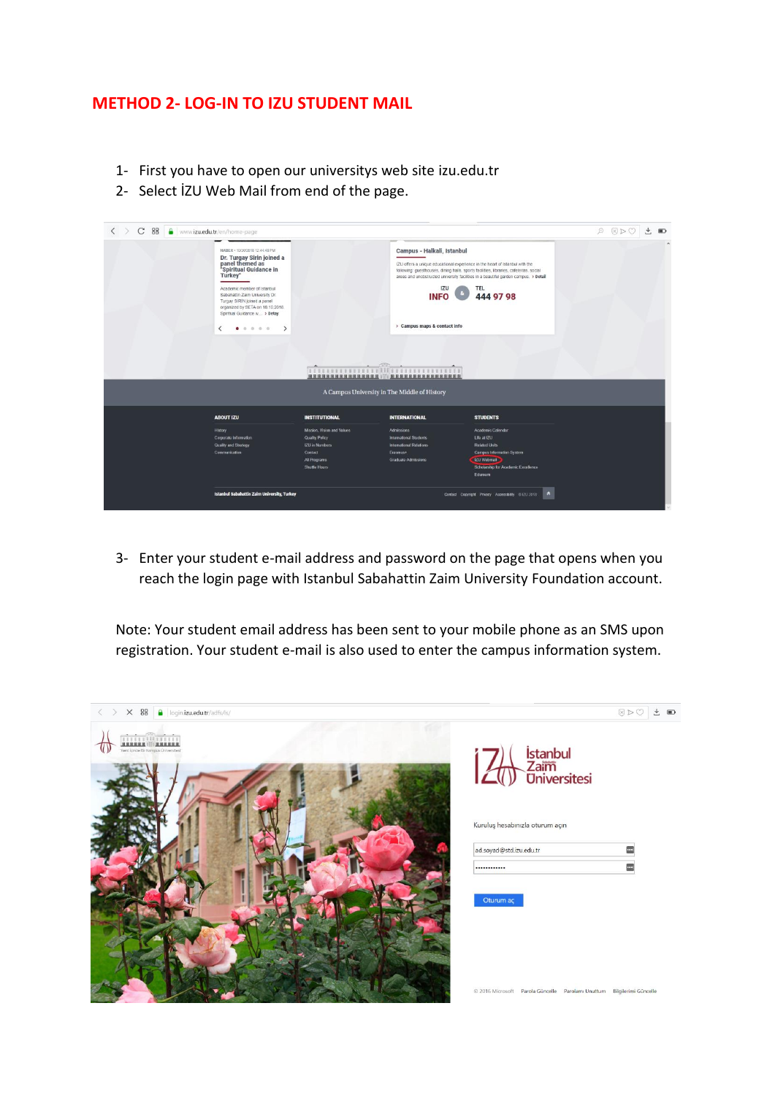## **METHOD 2- LOG-IN TO IZU STUDENT MAIL**

- 1- First you have to open our universitys web site izu.edu.tr
- 2- Select İZU Web Mail from end of the page.

| < > C 88   www.izu.edu.tr/en/home-page |                                                                                                                                                                                                                                                                                                                     |                                              |                                                                                                                                                                                                                                                                   |                                                                                                         |  | $\blacksquare$ |  |  |
|----------------------------------------|---------------------------------------------------------------------------------------------------------------------------------------------------------------------------------------------------------------------------------------------------------------------------------------------------------------------|----------------------------------------------|-------------------------------------------------------------------------------------------------------------------------------------------------------------------------------------------------------------------------------------------------------------------|---------------------------------------------------------------------------------------------------------|--|----------------|--|--|
|                                        | HABER - 10/30/2018 12:44:48 PM<br>Dr. Turgay Sirin joined a<br>panel themed as<br>"Spiritual Guidance in<br>Turkey"<br>Academic member of Istanbul<br>Sabahattin Zaim University Dr.<br>Turgay SIRIN joined a panel<br>organized by SETA on 18.10.2018.<br>Spiritual Guidance w > Detay<br>0 0 0 0<br>$\rightarrow$ |                                              | Campus - Halkali, Istanbul<br>IZU offers a unique educational experience in the heart of Istanbul with the<br>following: guesthouses, dining halls, sports facilities, libraries, cafeterias, social<br><b>IZU</b><br><b>INFO</b><br>> Campus maps & contact info | areas and unobstructed university facilities in a beautiful garden campus. > Detail<br>TEL<br>444 97 98 |  |                |  |  |
|                                        |                                                                                                                                                                                                                                                                                                                     | Timmumin Minimumin                           |                                                                                                                                                                                                                                                                   |                                                                                                         |  |                |  |  |
|                                        |                                                                                                                                                                                                                                                                                                                     | A Campus University in The Middle of History |                                                                                                                                                                                                                                                                   |                                                                                                         |  |                |  |  |
|                                        | <b>ABOUT IZU</b>                                                                                                                                                                                                                                                                                                    | <b>INSTITUTIONAL</b>                         | <b>INTERNATIONAL</b>                                                                                                                                                                                                                                              | <b>STUDENTS</b>                                                                                         |  |                |  |  |
|                                        | History                                                                                                                                                                                                                                                                                                             | Mission, Vision and Values                   | Admissions                                                                                                                                                                                                                                                        | Academic Calendar                                                                                       |  |                |  |  |
|                                        | Corporate Information                                                                                                                                                                                                                                                                                               | Quality Policy                               | <b>International Students</b>                                                                                                                                                                                                                                     | Life at IZU                                                                                             |  |                |  |  |
|                                        | <b>Quality and Strategy</b>                                                                                                                                                                                                                                                                                         | <b>IZU</b> in Numbers                        | International Relations                                                                                                                                                                                                                                           | <b>Related Units</b>                                                                                    |  |                |  |  |
|                                        | Communication                                                                                                                                                                                                                                                                                                       | Contact                                      | Erasmus+                                                                                                                                                                                                                                                          | Campus Information System                                                                               |  |                |  |  |
|                                        |                                                                                                                                                                                                                                                                                                                     | All Programs                                 | Graduate Admissions                                                                                                                                                                                                                                               | <b>IZU Webmall</b>                                                                                      |  |                |  |  |
|                                        |                                                                                                                                                                                                                                                                                                                     | <b>Shuttle Hours</b>                         |                                                                                                                                                                                                                                                                   | Scholarship for Academic Excellence<br>Eduroam                                                          |  |                |  |  |
|                                        | <b>Istanbul Sabahattin Zaim University, Turkey</b>                                                                                                                                                                                                                                                                  |                                              |                                                                                                                                                                                                                                                                   | <b>A</b><br>Contact Copyright Privacy Accessibility @120 2018                                           |  |                |  |  |

3- Enter your student e-mail address and password on the page that opens when you reach the login page with Istanbul Sabahattin Zaim University Foundation account.

Note: Your student email address has been sent to your mobile phone as an SMS upon registration. Your student e-mail is also used to enter the campus information system.